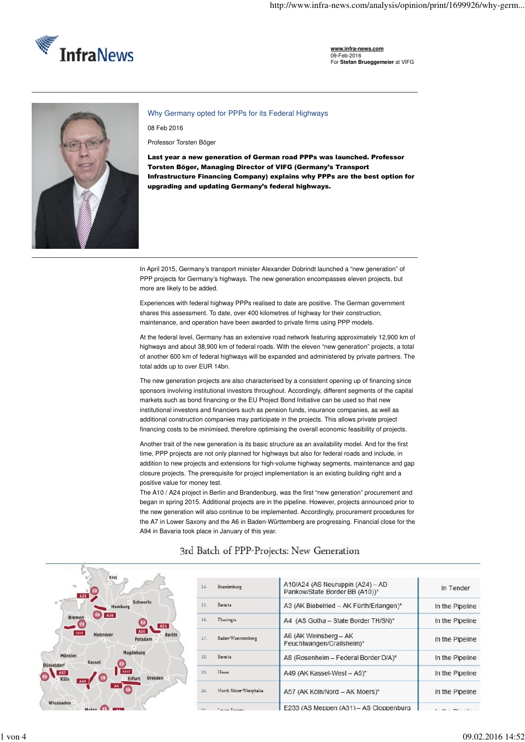

**www.infra-news.com** 09-Feb-2016 For **Stefan Brueggemeier** at VIFG



Why Germany opted for PPPs for its Federal Highways

08 Feb 2016

Professor Torsten Böger

Last year a new generation of German road PPPs was launched. Professor Torsten Böger, Managing Director of VIFG (Germany's Transport Infrastructure Financing Company) explains why PPPs are the best option for upgrading and updating Germany's federal highways.

In April 2015, Germany's transport minister Alexander Dobrindt launched a "new generation" of PPP projects for Germany's highways. The new generation encompasses eleven projects, but more are likely to be added.

Experiences with federal highway PPPs realised to date are positive. The German government shares this assessment. To date, over 400 kilometres of highway for their construction, maintenance, and operation have been awarded to private firms using PPP models.

At the federal level, Germany has an extensive road network featuring approximately 12,900 km of highways and about 38,900 km of federal roads. With the eleven "new generation" projects, a total of another 600 km of federal highways will be expanded and administered by private partners. The total adds up to over EUR 14bn.

The new generation projects are also characterised by a consistent opening up of financing since sponsors involving institutional investors throughout. Accordingly, different segments of the capital markets such as bond financing or the EU Project Bond Initiative can be used so that new institutional investors and financiers such as pension funds, insurance companies, as well as additional construction companies may participate in the projects. This allows private project financing costs to be minimised, therefore optimising the overall economic feasibility of projects.

Another trait of the new generation is its basic structure as an availability model. And for the first time, PPP projects are not only planned for highways but also for federal roads and include, in addition to new projects and extensions for high-volume highway segments, maintenance and gap closure projects. The prerequisite for project implementation is an existing building right and a positive value for money test.

The A10 / A24 project in Berlin and Brandenburg, was the first "new generation" procurement and began in spring 2015. Additional projects are in the pipeline. However, projects announced prior to the new generation will also continue to be implemented. Accordingly, procurement procedures for the A7 in Lower Saxony and the A6 in Baden-Württemberg are progressing. Financial close for the A94 in Bavaria took place in January of this year.



## 3rd Batch of PPP-Projects: New Generation

| Brandenburg            | A10/A24 (AS Neuruppin (A24) - AD<br>Pankow/State Border BB (A10))* | In Tender       |
|------------------------|--------------------------------------------------------------------|-----------------|
| Bavaria                | A3 (AK Biebelried - AK Fürth/Erlangen)*                            | In the Pipeline |
| Thuringia              | A4 (AS Gotha - State Border TH/SN)*                                | In the Pipeline |
| Baden-Wuerttemberg     | A6 (AK Weinsberg - AK<br>Feuchtwangen/Crailsheim)*                 | In the Pipeline |
| Bavaria                | A8 (Rosenheim - Federal Border D/A)*                               | In the Pipeline |
| Hesse                  | A49 (AK Kassel-West - A5)*                                         | In the Pipeline |
| North Rhine-Westphalia | A57 (AK Köln/Nord - AK Moers)*                                     | In the Pipeline |
| Tomas Company          | E233 (AS Meppen (A31) - AS Cloppenburg                             |                 |
|                        |                                                                    |                 |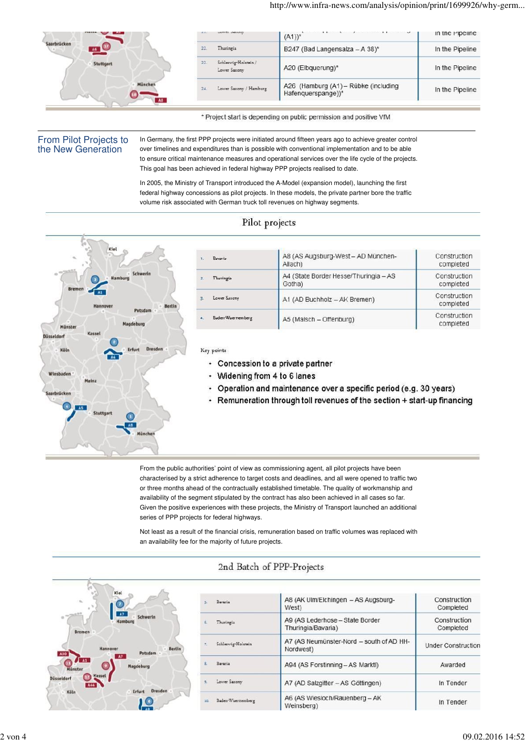|             |     |                                     | $(A1))^*$                                                  | in the Pipeline |
|-------------|-----|-------------------------------------|------------------------------------------------------------|-----------------|
| Saarbrücken |     | Thuringia                           | B247 (Bad Langensalza - A 38)*                             | In the Pipeline |
| Stuttgart   | 22. | Schleswig-Holstein/<br>Lower Saxony | A20 (Elbquerung)*                                          | In the Pipeline |
| Müncher     | 24. | Lower Saxony / Hamburg              | A26 (Hamburg (A1) - Rübke (including<br>Hafenquerspange))* | In the Pipeline |
|             |     |                                     |                                                            |                 |

\* Project start is depending on public permission and positive VfM

### From Pilot Projects to the New Generation

In Germany, the first PPP projects were initiated around fifteen years ago to achieve greater control over timelines and expenditures than is possible with conventional implementation and to be able to ensure critical maintenance measures and operational services over the life cycle of the projects. This goal has been achieved in federal highway PPP projects realised to date.

In 2005, the Ministry of Transport introduced the A-Model (expansion model), launching the first federal highway concessions as pilot projects. In these models, the private partner bore the traffic volume risk associated with German truck toll revenues on highway segments.

# Pilot projects



| Bayaria                   | A8 (AS Augsburg-West - AD München-<br>Allach)   | Construction<br>completed |
|---------------------------|-------------------------------------------------|---------------------------|
|                           |                                                 |                           |
| $\mathbf{z}$<br>Thuringia | A4 (State Border Hesse/Thuringia - AS<br>Gotha) | Construction<br>completed |
| Lawer Saxony<br>生         | A1 (AD Buchholz - AK Bremen)                    | Construction<br>completed |
| Baden-Wuerttemberg<br>x   | A5 (Malsch - Offenburg)                         | Construction<br>completed |

#### Key points

- Concession to a private partner
- Widening from 4 to 6 lanes ٠
- Operation and maintenance over a specific period (e.g. 30 years)
- Remuneration through toll revenues of the section + start-up financing

From the public authorities' point of view as commissioning agent, all pilot projects have been characterised by a strict adherence to target costs and deadlines, and all were opened to traffic two or three months ahead of the contractually established timetable. The quality of workmanship and availability of the segment stipulated by the contract has also been achieved in all cases so far. Given the positive experiences with these projects, the Ministry of Transport launched an additional series of PPP projects for federal highways.

Not least as a result of the financial crisis, remuneration based on traffic volumes was replaced with an availability fee for the majority of future projects.



## 2nd Batch of PPP-Projects

| Bayaria            | A8 (AK Ulm/Elchingen - AS Augsburg-<br>West)          | Construction<br>Completed |
|--------------------|-------------------------------------------------------|---------------------------|
| Thuringia          | A9 (AS Lederhose - State Border<br>Thuringia/Bavaria) | Construction<br>Completed |
| Schleswig-Holstein | A7 (AS Neumünster-Nord - south of AD HH-<br>Nordwest) | <b>Under Construction</b> |
| Bavaria            | A94 (AS Forstinning - AS Marktl)                      | Awarded                   |
| Lower Saxony       | A7 (AD Salzgitter - AS Göttingen)                     | In Tender                 |
| Baden-Wuerttemberg | A6 (AS Wiesloch/Rauenberg - AK<br>Weinsberg)          | In Tender                 |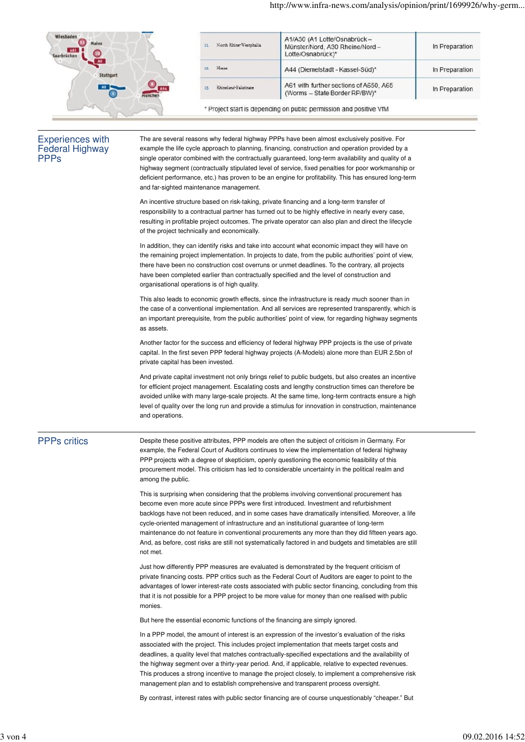| <b>Wiesbaden</b><br>Mainz<br>A61<br>Saarbrücke | North Rhine-Westphalia<br>11 | A1/A30 (A1 Lotte/Osnabrück-<br>Münster/Nord, A30 Rheine/Nord -<br>Lotte/Osnabrück)* | In Preparation |
|------------------------------------------------|------------------------------|-------------------------------------------------------------------------------------|----------------|
| Stuttgart                                      | Hesse<br>12.1                | A44 (Diemelstadt - Kassel-Süd)*                                                     | In Preparation |
|                                                | Rhineland-Palatinate<br>13.  | A61 with further sections of A650, A65<br>(Worms - State Border RP/BW)*             | In Preparation |
| 967                                            |                              | * Project start is depending on public permission and positive VfM                  |                |

#### Experiences with Federal Highway **PPPs**

The are several reasons why federal highway PPPs have been almost exclusively positive. For example the life cycle approach to planning, financing, construction and operation provided by a single operator combined with the contractually guaranteed, long-term availability and quality of a highway segment (contractually stipulated level of service, fixed penalties for poor workmanship or deficient performance, etc.) has proven to be an engine for profitability. This has ensured long-term and far-sighted maintenance management.

An incentive structure based on risk-taking, private financing and a long-term transfer of responsibility to a contractual partner has turned out to be highly effective in nearly every case, resulting in profitable project outcomes. The private operator can also plan and direct the lifecycle of the project technically and economically.

In addition, they can identify risks and take into account what economic impact they will have on the remaining project implementation. In projects to date, from the public authorities' point of view, there have been no construction cost overruns or unmet deadlines. To the contrary, all projects have been completed earlier than contractually specified and the level of construction and organisational operations is of high quality.

This also leads to economic growth effects, since the infrastructure is ready much sooner than in the case of a conventional implementation. And all services are represented transparently, which is an important prerequisite, from the public authorities' point of view, for regarding highway segments as assets.

Another factor for the success and efficiency of federal highway PPP projects is the use of private capital. In the first seven PPP federal highway projects (A-Models) alone more than EUR 2.5bn of private capital has been invested.

And private capital investment not only brings relief to public budgets, but also creates an incentive for efficient project management. Escalating costs and lengthy construction times can therefore be avoided unlike with many large-scale projects. At the same time, long-term contracts ensure a high level of quality over the long run and provide a stimulus for innovation in construction, maintenance and operations.

## PPPs critics

Despite these positive attributes, PPP models are often the subject of criticism in Germany. For example, the Federal Court of Auditors continues to view the implementation of federal highway PPP projects with a degree of skepticism, openly questioning the economic feasibility of this procurement model. This criticism has led to considerable uncertainty in the political realm and among the public.

This is surprising when considering that the problems involving conventional procurement has become even more acute since PPPs were first introduced. Investment and refurbishment backlogs have not been reduced, and in some cases have dramatically intensified. Moreover, a life cycle-oriented management of infrastructure and an institutional guarantee of long-term maintenance do not feature in conventional procurements any more than they did fifteen years ago. And, as before, cost risks are still not systematically factored in and budgets and timetables are still not met.

Just how differently PPP measures are evaluated is demonstrated by the frequent criticism of private financing costs. PPP critics such as the Federal Court of Auditors are eager to point to the advantages of lower interest-rate costs associated with public sector financing, concluding from this that it is not possible for a PPP project to be more value for money than one realised with public monies.

But here the essential economic functions of the financing are simply ignored.

In a PPP model, the amount of interest is an expression of the investor's evaluation of the risks associated with the project. This includes project implementation that meets target costs and deadlines, a quality level that matches contractually-specified expectations and the availability of the highway segment over a thirty-year period. And, if applicable, relative to expected revenues. This produces a strong incentive to manage the project closely, to implement a comprehensive risk management plan and to establish comprehensive and transparent process oversight.

By contrast, interest rates with public sector financing are of course unquestionably "cheaper." But